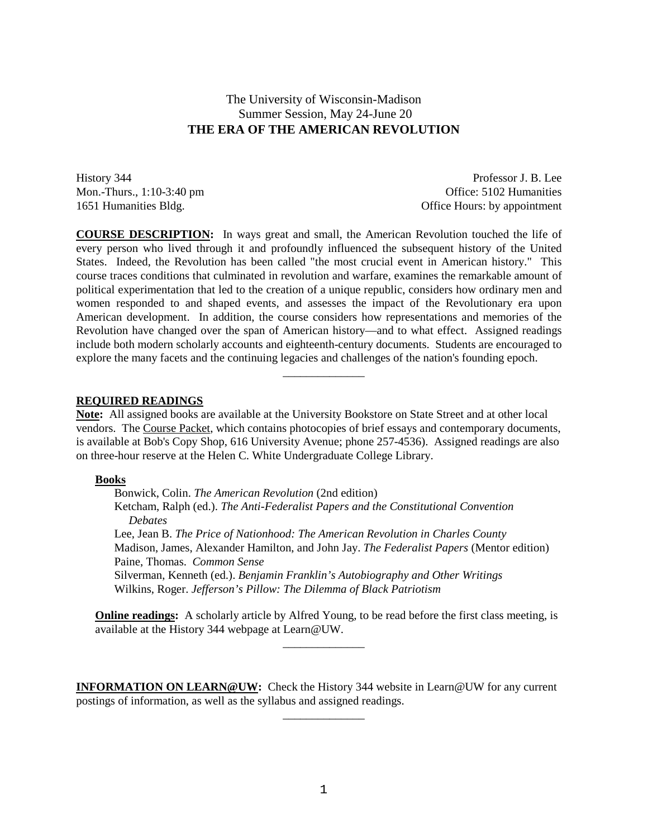# The University of Wisconsin-Madison Summer Session, May 24-June 20 **THE ERA OF THE AMERICAN REVOLUTION**

History 344 Professor J. B. Lee Mon.-Thurs., 1:10-3:40 pm Cffice: 5102 Humanities 1651 Humanities Bldg. Office Hours: by appointment

**COURSE DESCRIPTION:** In ways great and small, the American Revolution touched the life of every person who lived through it and profoundly influenced the subsequent history of the United States. Indeed, the Revolution has been called "the most crucial event in American history." This course traces conditions that culminated in revolution and warfare, examines the remarkable amount of political experimentation that led to the creation of a unique republic, considers how ordinary men and women responded to and shaped events, and assesses the impact of the Revolutionary era upon American development. In addition, the course considers how representations and memories of the Revolution have changed over the span of American history—and to what effect. Assigned readings include both modern scholarly accounts and eighteenth-century documents. Students are encouraged to explore the many facets and the continuing legacies and challenges of the nation's founding epoch.

#### **REQUIRED READINGS**

**Note:** All assigned books are available at the University Bookstore on State Street and at other local vendors. The Course Packet, which contains photocopies of brief essays and contemporary documents, is available at Bob's Copy Shop, 616 University Avenue; phone 257-4536). Assigned readings are also on three-hour reserve at the Helen C. White Undergraduate College Library.

\_\_\_\_\_\_\_\_\_\_\_\_\_\_

#### **Books**

Bonwick, Colin. *The American Revolution* (2nd edition)

Ketcham, Ralph (ed.). *The Anti-Federalist Papers and the Constitutional Convention Debates*

Lee, Jean B. *The Price of Nationhood: The American Revolution in Charles County* Madison, James, Alexander Hamilton, and John Jay. *The Federalist Papers* (Mentor edition) Paine, Thomas. *Common Sense*

Silverman, Kenneth (ed.). *Benjamin Franklin's Autobiography and Other Writings* Wilkins, Roger. *Jefferson's Pillow: The Dilemma of Black Patriotism*

**Online readings:** A scholarly article by Alfred Young, to be read before the first class meeting, is available at the History 344 webpage at Learn@UW.  $\overline{\phantom{a}}$  , where  $\overline{\phantom{a}}$ 

**INFORMATION ON LEARN@UW:** Check the History 344 website in Learn@UW for any current postings of information, as well as the syllabus and assigned readings.

 $\overline{\phantom{a}}$  , where  $\overline{\phantom{a}}$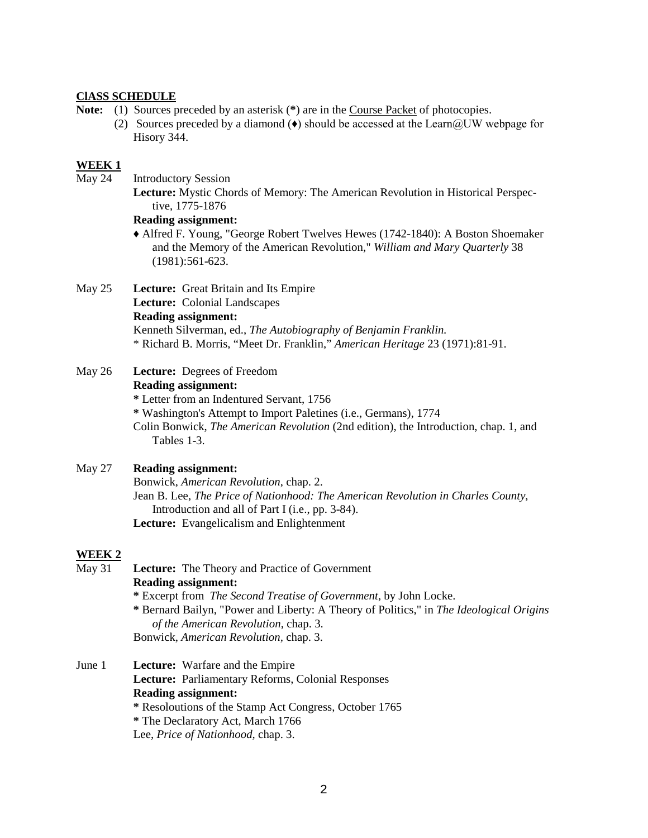### **ClASS SCHEDULE**

- **Note:** (1) Sources preceded by an asterisk (**\***) are in the Course Packet of photocopies.
	- (2) Sources preceded by a diamond  $\leftrightarrow$  should be accessed at the Learn  $@UW$  webpage for Hisory 344.

#### **WEEK 1**

May 24 Introductory Session

**Lecture:** Mystic Chords of Memory: The American Revolution in Historical Perspective, 1775-1876

#### **Reading assignment:**

♦ Alfred F. Young, "George Robert Twelves Hewes (1742-1840): A Boston Shoemaker and the Memory of the American Revolution," *William and Mary Quarterly* 38 (1981):561-623.

- May 25 **Lecture:** Great Britain and Its Empire **Lecture:** Colonial Landscapes **Reading assignment:** Kenneth Silverman, ed., *The Autobiography of Benjamin Franklin.*
	- \* Richard B. Morris, "Meet Dr. Franklin," *American Heritage* 23 (1971):81-91.
- May 26 **Lecture:** Degrees of Freedom **Reading assignment: \*** Letter from an Indentured Servant, 1756 **\*** Washington's Attempt to Import Paletines (i.e., Germans), 1774
	- Colin Bonwick, *The American Revolution* (2nd edition), the Introduction, chap. 1, and Tables 1-3.

## May 27 **Reading assignment:**

Bonwick, *American Revolution*, chap. 2. Jean B. Lee, *The Price of Nationhood: The American Revolution in Charles County*, Introduction and all of Part I (i.e., pp. 3-84). **Lecture:** Evangelicalism and Enlightenment

# **WEEK 2**

- May 31 **Lecture:** The Theory and Practice of Government **Reading assignment: \*** Excerpt from *The Second Treatise of Government*, by John Locke. **\*** Bernard Bailyn, "Power and Liberty: A Theory of Politics," in *The Ideological Origins of the American Revolution*, chap. 3. Bonwick, *American Revolution,* chap. 3.
- June 1 **Lecture:** Warfare and the Empire **Lecture:** Parliamentary Reforms, Colonial Responses **Reading assignment: \*** Resoloutions of the Stamp Act Congress, October 1765 **\*** The Declaratory Act, March 1766
	- Lee, *Price of Nationhood,* chap. 3.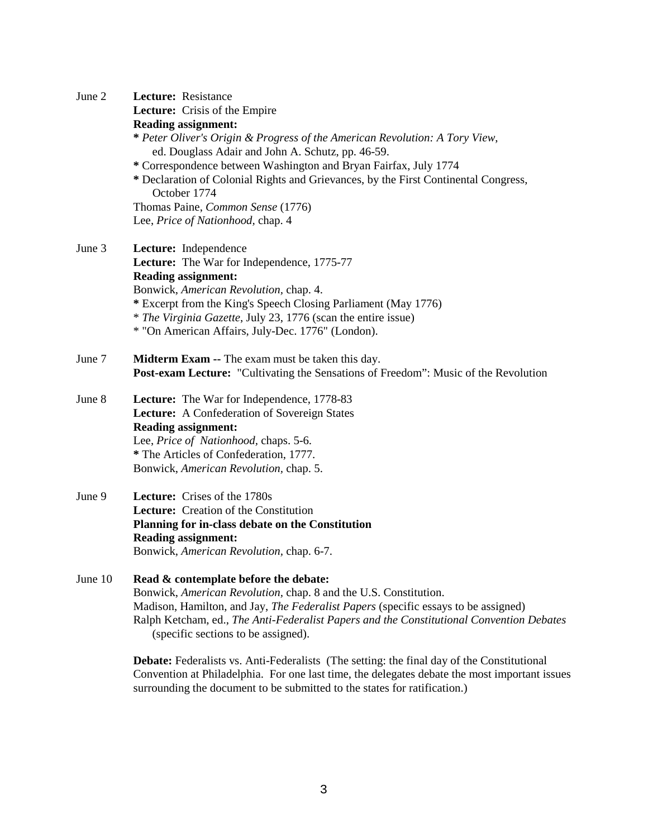| June 2  | Lecture: Resistance                                                                                                             |
|---------|---------------------------------------------------------------------------------------------------------------------------------|
|         | Lecture: Crisis of the Empire                                                                                                   |
|         | <b>Reading assignment:</b>                                                                                                      |
|         | * Peter Oliver's Origin & Progress of the American Revolution: A Tory View,                                                     |
|         | ed. Douglass Adair and John A. Schutz, pp. 46-59.                                                                               |
|         | * Correspondence between Washington and Bryan Fairfax, July 1774                                                                |
|         | * Declaration of Colonial Rights and Grievances, by the First Continental Congress,<br>October 1774                             |
|         | Thomas Paine, Common Sense (1776)                                                                                               |
|         | Lee, Price of Nationhood, chap. 4                                                                                               |
| June 3  | Lecture: Independence                                                                                                           |
|         | Lecture: The War for Independence, 1775-77                                                                                      |
|         | <b>Reading assignment:</b>                                                                                                      |
|         | Bonwick, American Revolution, chap. 4.                                                                                          |
|         | * Excerpt from the King's Speech Closing Parliament (May 1776)                                                                  |
|         | <i>* The Virginia Gazette, July 23, 1776 (scan the entire issue)</i>                                                            |
|         | * "On American Affairs, July-Dec. 1776" (London).                                                                               |
| June 7  | <b>Midterm Exam --</b> The exam must be taken this day.                                                                         |
|         | <b>Post-exam Lecture:</b> "Cultivating the Sensations of Freedom": Music of the Revolution                                      |
| June 8  | Lecture: The War for Independence, 1778-83                                                                                      |
|         | Lecture: A Confederation of Sovereign States                                                                                    |
|         | <b>Reading assignment:</b>                                                                                                      |
|         | Lee, Price of Nationhood, chaps. 5-6.                                                                                           |
|         | * The Articles of Confederation, 1777.                                                                                          |
|         | Bonwick, American Revolution, chap. 5.                                                                                          |
| June 9  | <b>Lecture:</b> Crises of the 1780s                                                                                             |
|         | Lecture: Creation of the Constitution                                                                                           |
|         | Planning for in-class debate on the Constitution<br><b>Reading assignment:</b>                                                  |
|         | Bonwick, American Revolution, chap. 6-7.                                                                                        |
| June 10 | Read & contemplate before the debate:                                                                                           |
|         | Bonwick, American Revolution, chap. 8 and the U.S. Constitution.                                                                |
|         | Madison, Hamilton, and Jay, The Federalist Papers (specific essays to be assigned)                                              |
|         | Ralph Ketcham, ed., The Anti-Federalist Papers and the Constitutional Convention Debates<br>(specific sections to be assigned). |
|         | <b>Debate:</b> Federalists vs. Anti-Federalists (The setting: the final day of the Constitutional                               |
|         | Convention at Philadelphia. For one last time, the delegates debate the most important issues                                   |

surrounding the document to be submitted to the states for ratification.)